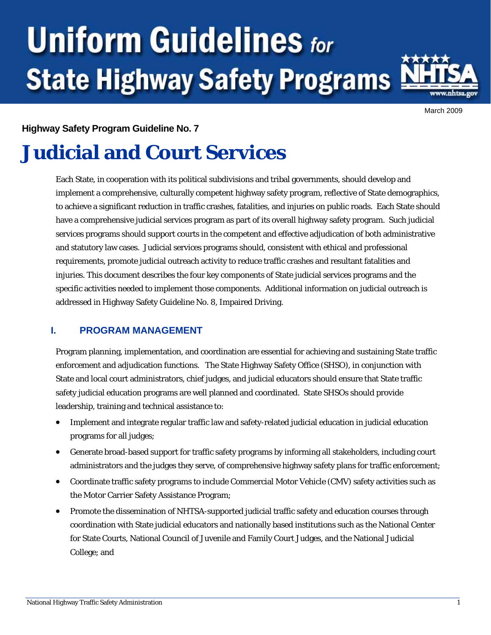# **Uniform Guidelines for State Highway Safety Programs**



March 2009

#### **Highway Safety Program Guideline No. 7**

## **Judicial and Court Services**

Each State, in cooperation with its political subdivisions and tribal governments, should develop and implement a comprehensive, culturally competent highway safety program, reflective of State demographics, to achieve a significant reduction in traffic crashes, fatalities, and injuries on public roads. Each State should have a comprehensive judicial services program as part of its overall highway safety program. Such judicial services programs should support courts in the competent and effective adjudication of both administrative and statutory law cases. Judicial services programs should, consistent with ethical and professional requirements, promote judicial outreach activity to reduce traffic crashes and resultant fatalities and injuries. This document describes the four key components of State judicial services programs and the specific activities needed to implement those components. Additional information on judicial outreach is addressed in Highway Safety Guideline No. 8, Impaired Driving.

#### **I. PROGRAM MANAGEMENT**

Program planning, implementation, and coordination are essential for achieving and sustaining State traffic enforcement and adjudication functions. The State Highway Safety Office (SHSO), in conjunction with State and local court administrators, chief judges, and judicial educators should ensure that State traffic safety judicial education programs are well planned and coordinated. State SHSOs should provide leadership, training and technical assistance to:

- Implement and integrate regular traffic law and safety-related judicial education in judicial education programs for all judges;
- Generate broad-based support for traffic safety programs by informing all stakeholders, including court administrators and the judges they serve, of comprehensive highway safety plans for traffic enforcement;
- Coordinate traffic safety programs to include Commercial Motor Vehicle (CMV) safety activities such as the Motor Carrier Safety Assistance Program;
- Promote the dissemination of NHTSA-supported judicial traffic safety and education courses through coordination with State judicial educators and nationally based institutions such as the National Center for State Courts, National Council of Juvenile and Family Court Judges, and the National Judicial College; and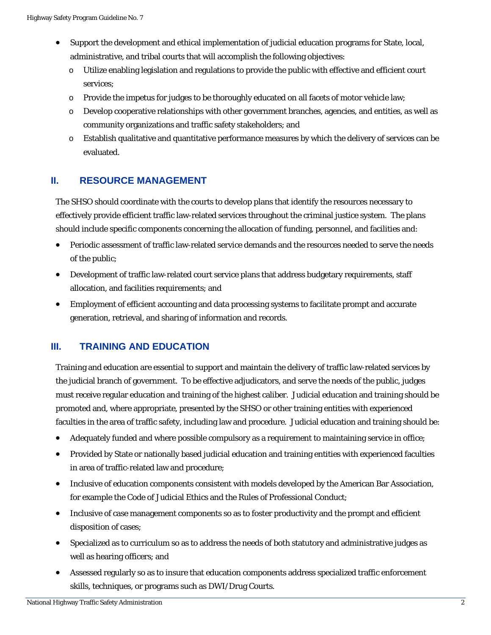- Support the development and ethical implementation of judicial education programs for State, local, administrative, and tribal courts that will accomplish the following objectives:
	- o Utilize enabling legislation and regulations to provide the public with effective and efficient court services;
	- $\circ$  Provide the impetus for judges to be thoroughly educated on all facets of motor vehicle law;
	- o Develop cooperative relationships with other government branches, agencies, and entities, as well as community organizations and traffic safety stakeholders; and
	- o Establish qualitative and quantitative performance measures by which the delivery of services can be evaluated.

#### **II. RESOURCE MANAGEMENT**

The SHSO should coordinate with the courts to develop plans that identify the resources necessary to effectively provide efficient traffic law-related services throughout the criminal justice system. The plans should include specific components concerning the allocation of funding, personnel, and facilities and:

- Periodic assessment of traffic law-related service demands and the resources needed to serve the needs of the public;
- Development of traffic law-related court service plans that address budgetary requirements, staff allocation, and facilities requirements; and
- Employment of efficient accounting and data processing systems to facilitate prompt and accurate generation, retrieval, and sharing of information and records.

#### **III. TRAINING AND EDUCATION**

Training and education are essential to support and maintain the delivery of traffic law-related services by the judicial branch of government. To be effective adjudicators, and serve the needs of the public, judges must receive regular education and training of the highest caliber. Judicial education and training should be promoted and, where appropriate, presented by the SHSO or other training entities with experienced faculties in the area of traffic safety, including law and procedure. Judicial education and training should be:

- Adequately funded and where possible compulsory as a requirement to maintaining service in office;
- Provided by State or nationally based judicial education and training entities with experienced faculties in area of traffic-related law and procedure;
- Inclusive of education components consistent with models developed by the American Bar Association, for example the Code of Judicial Ethics and the Rules of Professional Conduct;
- Inclusive of case management components so as to foster productivity and the prompt and efficient disposition of cases;
- Specialized as to curriculum so as to address the needs of both statutory and administrative judges as well as hearing officers; and
- Assessed regularly so as to insure that education components address specialized traffic enforcement skills, techniques, or programs such as DWI/Drug Courts.